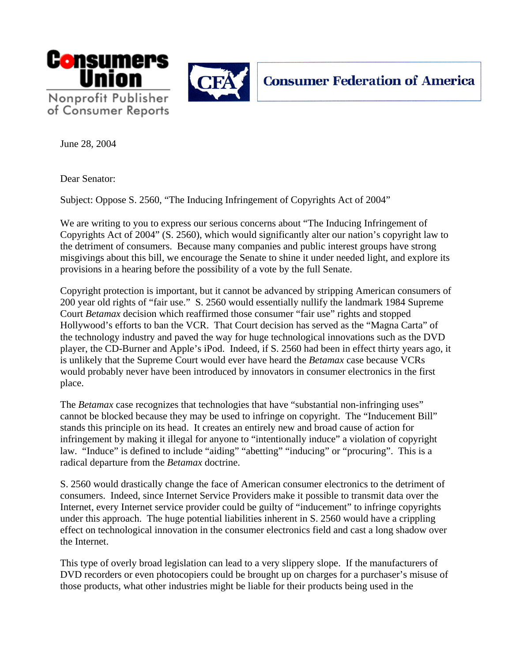



June 28, 2004

Dear Senator:

Subject: Oppose S. 2560, "The Inducing Infringement of Copyrights Act of 2004"

We are writing to you to express our serious concerns about "The Inducing Infringement of Copyrights Act of 2004" (S. 2560), which would significantly alter our nation's copyright law to the detriment of consumers. Because many companies and public interest groups have strong misgivings about this bill, we encourage the Senate to shine it under needed light, and explore its provisions in a hearing before the possibility of a vote by the full Senate.

Copyright protection is important, but it cannot be advanced by stripping American consumers of 200 year old rights of "fair use." S. 2560 would essentially nullify the landmark 1984 Supreme Court *Betamax* decision which reaffirmed those consumer "fair use" rights and stopped Hollywood's efforts to ban the VCR. That Court decision has served as the "Magna Carta" of the technology industry and paved the way for huge technological innovations such as the DVD player, the CD-Burner and Apple's iPod. Indeed, if S. 2560 had been in effect thirty years ago, it is unlikely that the Supreme Court would ever have heard the *Betamax* case because VCRs would probably never have been introduced by innovators in consumer electronics in the first place.

The *Betamax* case recognizes that technologies that have "substantial non-infringing uses" cannot be blocked because they may be used to infringe on copyright. The "Inducement Bill" stands this principle on its head. It creates an entirely new and broad cause of action for infringement by making it illegal for anyone to "intentionally induce" a violation of copyright law. "Induce" is defined to include "aiding" "abetting" "inducing" or "procuring". This is a radical departure from the *Betamax* doctrine.

S. 2560 would drastically change the face of American consumer electronics to the detriment of consumers. Indeed, since Internet Service Providers make it possible to transmit data over the Internet, every Internet service provider could be guilty of "inducement" to infringe copyrights under this approach. The huge potential liabilities inherent in S. 2560 would have a crippling effect on technological innovation in the consumer electronics field and cast a long shadow over the Internet.

This type of overly broad legislation can lead to a very slippery slope. If the manufacturers of DVD recorders or even photocopiers could be brought up on charges for a purchaser's misuse of those products, what other industries might be liable for their products being used in the